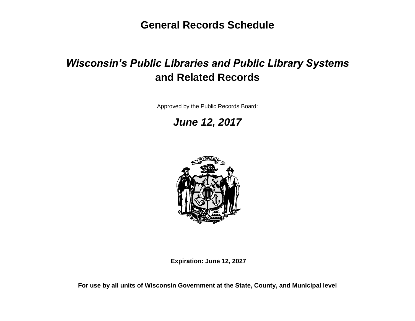**General Records Schedule**

# *Wisconsin's Public Libraries and Public Library Systems*  **and Related Records**

Approved by the Public Records Board:

*June 12, 2017*



**Expiration: June 12, 2027**

**For use by all units of Wisconsin Government at the State, County, and Municipal level**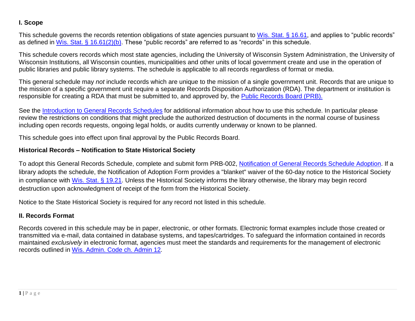# **I. Scope**

This schedule governs the records retention obligations of state agencies pursuant to [Wis. Stat. § 16.61,](http://docs.legis.wisconsin.gov/statutes/statutes/16/III/61) and applies to "public records" as defined in [Wis. Stat. § 16.61\(2\)\(b\).](http://docs.legis.wisconsin.gov/statutes/statutes/16/III/61/2/b) These "public records" are referred to as "records" in this schedule.

This schedule covers records which most state agencies, including the University of Wisconsin System Administration, the University of Wisconsin Institutions, all Wisconsin counties, municipalities and other units of local government create and use in the operation of public libraries and public library systems. The schedule is applicable to all records regardless of format or media.

This general schedule may *not* include records which are unique to the mission of a single government unit. Records that are unique to the mission of a specific government unit require a separate Records Disposition Authorization (RDA). The department or institution is responsible for creating a RDA that must be submitted to, and approved by, the [Public Records Board \(PRB\).](http://publicrecordsboard.wi.gov/)

See the [Introduction to General Records Schedules](http://publicrecordsboard.wi.gov/docview.asp?docid=16116&locid=165) for additional information about how to use this schedule. In particular please review the restrictions on conditions that might preclude the authorized destruction of documents in the normal course of business including open records requests, ongoing legal holds, or audits currently underway or known to be planned.

This schedule goes into effect upon final approval by the Public Records Board.

### **Historical Records – Notification to State Historical Society**

To adopt this General Records Schedule, complete and submit form PRB-002, [Notification of General Records Schedule Adoption.](http://publicrecordsboard.wi.gov/docview.asp?docid=15860&locid=165) If a library adopts the schedule, the Notification of Adoption Form provides a "blanket" waiver of the 60-day notice to the Historical Society in compliance with [Wis. Stat. § 19.21.](https://docs.legis.wisconsin.gov/document/statutes/19.21) Unless the Historical Society informs the library otherwise, the library may begin record destruction upon acknowledgment of receipt of the form from the Historical Society.

Notice to the State Historical Society is required for any record not listed in this schedule.

# **II. Records Format**

Records covered in this schedule may be in paper, electronic, or other formats. Electronic format examples include those created or transmitted via e-mail, data contained in database systems, and tapes/cartridges. To safeguard the information contained in records maintained *exclusively* in electronic format, agencies must meet the standards and requirements for the management of electronic records outlined in [Wis.](http://publicrecordsboard.wi.gov/docview.asp?docid=15970&locid=165) Admin. Code ch. Admin 12*.*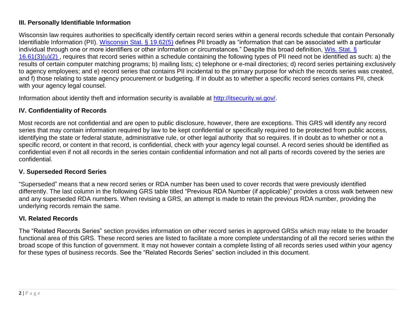### **III. Personally Identifiable Information**

Wisconsin law requires authorities to specifically identify certain record series within a general records schedule that contain Personally Identifiable Information (PII). Wisconsin [Stat. § 19.62\(5\)](http://docs.legis.wi.gov/statutes/statutes/19/IV/62/5) defines PII broadly as "information that can be associated with a particular individual through one or more identifiers or other information or circumstances." Despite this broad definition, Wis. Stat. §  $16.61(3)(u)(2)$ , requires that record series within a schedule containing the following types of PII need not be identified as such: a) the results of certain computer matching programs; b) mailing lists; c) telephone or e-mail directories; d) record series pertaining exclusively to agency employees; and e) record series that contains PII incidental to the primary purpose for which the records series was created, and f) those relating to state agency procurement or budgeting. If in doubt as to whether a specific record series contains PII, check with your agency legal counsel.

Information about identity theft and information security is available at [http://itsecurity.wi.gov/.](http://itsecurity.wi.gov/)

### **IV. Confidentiality of Records**

Most records are not confidential and are open to public disclosure, however, there are exceptions. This GRS will identify any record series that may contain information required by law to be kept confidential or specifically required to be protected from public access, identifying the state or federal statute, administrative rule, or other legal authority that so requires. If in doubt as to whether or not a specific record, or content in that record, is confidential, check with your agency legal counsel. A record series should be identified as confidential even if not all records in the series contain confidential information and not all parts of records covered by the series are confidential.

# **V. Superseded Record Series**

"Superseded" means that a new record series or RDA number has been used to cover records that were previously identified differently. The last column in the following GRS table titled "Previous RDA Number (if applicable)" provides a cross walk between new and any superseded RDA numbers. When revising a GRS, an attempt is made to retain the previous RDA number, providing the underlying records remain the same.

# **VI. Related Records**

The "Related Records Series" section provides information on other record series in approved GRSs which may relate to the broader functional area of this GRS. These record series are listed to facilitate a more complete understanding of all the record series within the broad scope of this function of government. It may not however contain a complete listing of all records series used within your agency for these types of business records. See the "Related Records Series" section included in this document.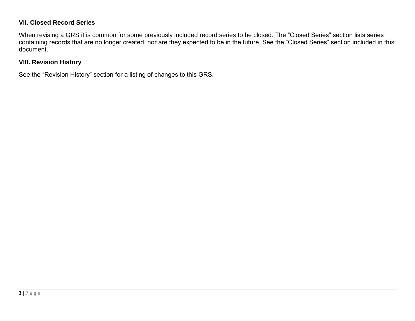# **VII. Closed Record Series**

When revising a GRS it is common for some previously included record series to be closed. The "Closed Series" section lists series containing records that are no longer created, nor are they expected to be in the future. See the "Closed Series" section included in this document.

#### **VIII. Revision History**

See the "Revision History" section for a listing of changes to this GRS.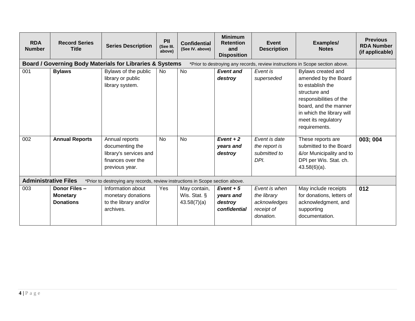| <b>RDA</b><br><b>Number</b> | <b>Record Series</b><br><b>Title</b>                 | <b>Series Description</b>                                                                          | PII<br>(See III.<br>above) | <b>Confidential</b><br>(See IV. above)      | <b>Minimum</b><br><b>Retention</b><br>and<br><b>Disposition</b> | <b>Event</b><br><b>Description</b>                                      | Examples/<br><b>Notes</b>                                                                                                                                                                                | <b>Previous</b><br><b>RDA Number</b><br>(if applicable) |
|-----------------------------|------------------------------------------------------|----------------------------------------------------------------------------------------------------|----------------------------|---------------------------------------------|-----------------------------------------------------------------|-------------------------------------------------------------------------|----------------------------------------------------------------------------------------------------------------------------------------------------------------------------------------------------------|---------------------------------------------------------|
|                             |                                                      | <b>Board / Governing Body Materials for Libraries &amp; Systems</b>                                |                            |                                             |                                                                 |                                                                         | *Prior to destroying any records, review instructions in Scope section above.                                                                                                                            |                                                         |
| 001                         | <b>Bylaws</b>                                        | Bylaws of the public<br>library or public<br>library system.                                       | <b>No</b>                  | <b>No</b>                                   | <b>Event and</b><br>destroy                                     | Event is<br>superseded                                                  | Bylaws created and<br>amended by the Board<br>to establish the<br>structure and<br>responsibilities of the<br>board, and the manner<br>in which the library will<br>meet its regulatory<br>requirements. |                                                         |
| 002                         | <b>Annual Reports</b>                                | Annual reports<br>documenting the<br>library's services and<br>finances over the<br>previous year. | <b>No</b>                  | <b>No</b>                                   | $Event + 2$<br>years and<br>destroy                             | Event is date<br>the report is<br>submitted to<br>DPI.                  | These reports are<br>submitted to the Board<br>&/or Municipality and to<br>DPI per Wis. Stat. ch.<br>$43.58(6)(a)$ .                                                                                     | 003; 004                                                |
| <b>Administrative Files</b> |                                                      | *Prior to destroying any records, review instructions in Scope section above.                      |                            |                                             |                                                                 |                                                                         |                                                                                                                                                                                                          |                                                         |
| 003                         | Donor Files -<br><b>Monetary</b><br><b>Donations</b> | Information about<br>monetary donations<br>to the library and/or<br>archives.                      | Yes                        | May contain,<br>Wis. Stat. §<br>43.58(7)(a) | $Event + 5$<br>years and<br>destroy<br>confidential             | Event is when<br>the library<br>acknowledges<br>receipt of<br>donation. | May include receipts<br>for donations, letters of<br>acknowledgment, and<br>supporting<br>documentation.                                                                                                 | 012                                                     |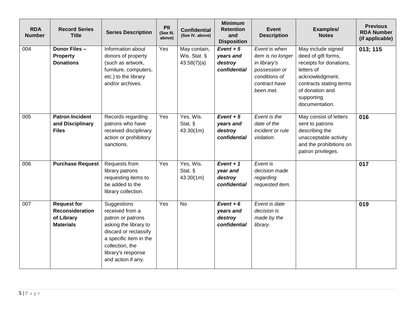| <b>RDA</b><br><b>Number</b> | <b>Record Series</b><br><b>Title</b>                                    | <b>Series Description</b>                                                                                                                                                                      | PII<br>(See III.<br>above) | <b>Confidential</b><br>(See IV. above)      | <b>Minimum</b><br><b>Retention</b><br>and<br><b>Disposition</b> | <b>Event</b><br><b>Description</b>                                                                                 | Examples/<br><b>Notes</b>                                                                                                                                                           | <b>Previous</b><br><b>RDA Number</b><br>(if applicable) |
|-----------------------------|-------------------------------------------------------------------------|------------------------------------------------------------------------------------------------------------------------------------------------------------------------------------------------|----------------------------|---------------------------------------------|-----------------------------------------------------------------|--------------------------------------------------------------------------------------------------------------------|-------------------------------------------------------------------------------------------------------------------------------------------------------------------------------------|---------------------------------------------------------|
| 004                         | Donor Files -<br><b>Property</b><br><b>Donations</b>                    | Information about<br>donors of property<br>(such as artwork,<br>furniture, computers,<br>etc.) to the library<br>and/or archives.                                                              | Yes                        | May contain,<br>Wis. Stat. §<br>43.58(7)(a) | $Event + 5$<br>years and<br>destroy<br>confidential             | Event is when<br>item is no longer<br>in library's<br>possession or<br>conditions of<br>contract have<br>been met. | May include signed<br>deed of gift forms,<br>receipts for donations,<br>letters of<br>acknowledgment,<br>contracts stating terms<br>of donation and<br>supporting<br>documentation. | 013; 115                                                |
| 005                         | <b>Patron Incident</b><br>and Disciplinary<br><b>Files</b>              | Records regarding<br>patrons who have<br>received disciplinary<br>action or prohibitory<br>sanctions.                                                                                          | Yes                        | Yes, Wis.<br>Stat. §<br>43.30(1m)           | $Event + 5$<br>years and<br>destroy<br>confidential             | Event is the<br>date of the<br>incident or rule<br>violation.                                                      | May consist of letters<br>sent to patrons<br>describing the<br>unacceptable activity<br>and the prohibitions on<br>patron privileges.                                               | 016                                                     |
| 006                         | <b>Purchase Request</b>                                                 | Requests from<br>library patrons<br>requesting items to<br>be added to the<br>library collection.                                                                                              | Yes                        | Yes, Wis.<br>Stat. §<br>43.30(1m)           | $Event + 1$<br>year and<br>destroy<br>confidential              | Event is<br>decision made<br>regarding<br>requested item.                                                          |                                                                                                                                                                                     | 017                                                     |
| 007                         | <b>Request for</b><br>Reconsideration<br>of Library<br><b>Materials</b> | Suggestions<br>received from a<br>patron or patrons<br>asking the library to<br>discard or reclassify<br>a specific item in the<br>collection, the<br>library's response<br>and action if any. | Yes                        | $\overline{N}$                              | $Event + 6$<br>years and<br>destroy<br>confidential             | Event is date<br>decision is<br>made by the<br>library.                                                            |                                                                                                                                                                                     | 019                                                     |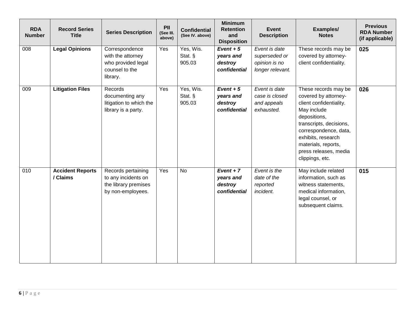| <b>RDA</b><br><b>Number</b> | <b>Record Series</b><br><b>Title</b> | <b>Series Description</b>                                                               | PII<br>(See III.<br>above) | <b>Confidential</b><br>(See IV. above) | <b>Minimum</b><br><b>Retention</b><br>and<br><b>Disposition</b> | <b>Event</b><br><b>Description</b>                                  | Examples/<br><b>Notes</b>                                                                                                                                                                                                                           | <b>Previous</b><br><b>RDA Number</b><br>(if applicable) |
|-----------------------------|--------------------------------------|-----------------------------------------------------------------------------------------|----------------------------|----------------------------------------|-----------------------------------------------------------------|---------------------------------------------------------------------|-----------------------------------------------------------------------------------------------------------------------------------------------------------------------------------------------------------------------------------------------------|---------------------------------------------------------|
| 008                         | <b>Legal Opinions</b>                | Correspondence<br>with the attorney<br>who provided legal<br>counsel to the<br>library. | Yes                        | Yes, Wis.<br>Stat. §<br>905.03         | $Event + 5$<br>years and<br>destroy<br>confidential             | Event is date<br>superseded or<br>opinion is no<br>longer relevant. | These records may be<br>covered by attorney-<br>client confidentiality.                                                                                                                                                                             | 025                                                     |
| 009                         | <b>Litigation Files</b>              | Records<br>documenting any<br>litigation to which the<br>library is a party.            | Yes                        | Yes, Wis.<br>Stat. §<br>905.03         | $Event + 5$<br>years and<br>destroy<br>confidential             | Event is date<br>case is closed<br>and appeals<br>exhausted.        | These records may be<br>covered by attorney-<br>client confidentiality.<br>May include<br>depositions,<br>transcripts, decisions,<br>correspondence, data,<br>exhibits, research<br>materials, reports,<br>press releases, media<br>clippings, etc. | 026                                                     |
| $\overline{010}$            | <b>Accident Reports</b><br>/ Claims  | Records pertaining<br>to any incidents on<br>the library premises<br>by non-employees.  | Yes                        | $\overline{N}$                         | $Event + 7$<br>years and<br>destroy<br>confidential             | Event is the<br>date of the<br>reported<br>incident.                | May include related<br>information, such as<br>witness statements,<br>medical information,<br>legal counsel, or<br>subsequent claims.                                                                                                               | 015                                                     |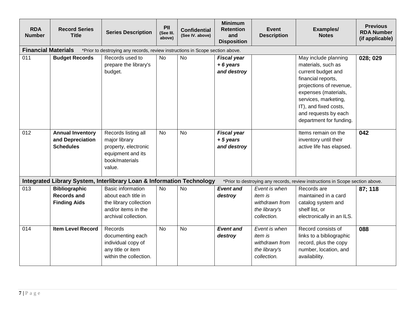| <b>RDA</b><br><b>Number</b> | <b>Record Series</b><br><b>Title</b>                              | <b>Series Description</b>                                                                                                | PII<br>(See III.<br>above) | <b>Confidential</b><br>(See IV. above) | <b>Minimum</b><br><b>Retention</b><br>and<br><b>Disposition</b> | <b>Event</b><br><b>Description</b>                                                | Examples/<br><b>Notes</b>                                                                                                                                                                                                                     | <b>Previous</b><br><b>RDA Number</b><br>(if applicable) |
|-----------------------------|-------------------------------------------------------------------|--------------------------------------------------------------------------------------------------------------------------|----------------------------|----------------------------------------|-----------------------------------------------------------------|-----------------------------------------------------------------------------------|-----------------------------------------------------------------------------------------------------------------------------------------------------------------------------------------------------------------------------------------------|---------------------------------------------------------|
| <b>Financial Materials</b>  |                                                                   | *Prior to destroying any records, review instructions in Scope section above.                                            |                            |                                        |                                                                 |                                                                                   |                                                                                                                                                                                                                                               |                                                         |
| 011                         | <b>Budget Records</b>                                             | Records used to<br>prepare the library's<br>budget.                                                                      | <b>No</b>                  | No                                     | <b>Fiscal year</b><br>$+6$ years<br>and destroy                 |                                                                                   | May include planning<br>materials, such as<br>current budget and<br>financial reports,<br>projections of revenue,<br>expenses (materials,<br>services, marketing,<br>IT), and fixed costs,<br>and requests by each<br>department for funding. | 028; 029                                                |
| 012                         | <b>Annual Inventory</b><br>and Depreciation<br><b>Schedules</b>   | Records listing all<br>major library<br>property, electronic<br>equipment and its<br>book/materials<br>value.            | <b>No</b>                  | <b>No</b>                              | <b>Fiscal year</b><br>$+5$ years<br>and destroy                 |                                                                                   | Items remain on the<br>inventory until their<br>active life has elapsed.                                                                                                                                                                      | 042                                                     |
|                             |                                                                   | Integrated Library System, Interlibrary Loan & Information Technology                                                    |                            |                                        |                                                                 |                                                                                   | *Prior to destroying any records, review instructions in Scope section above.                                                                                                                                                                 |                                                         |
| 013                         | <b>Bibliographic</b><br><b>Records and</b><br><b>Finding Aids</b> | <b>Basic information</b><br>about each title in<br>the library collection<br>and/or items in the<br>archival collection. | <b>No</b>                  | <b>No</b>                              | <b>Event and</b><br>destroy                                     | Event is when<br><i>item is</i><br>withdrawn from<br>the library's<br>collection. | Records are<br>maintained in a card<br>catalog system and<br>shelf list, or<br>electronically in an ILS.                                                                                                                                      | 87; 118                                                 |
| 014                         | <b>Item Level Record</b>                                          | Records<br>documenting each<br>individual copy of<br>any title or item<br>within the collection.                         | <b>No</b>                  | <b>No</b>                              | <b>Event and</b><br>destroy                                     | Event is when<br><i>item is</i><br>withdrawn from<br>the library's<br>collection. | Record consists of<br>links to a bibliographic<br>record, plus the copy<br>number, location, and<br>availability.                                                                                                                             | 088                                                     |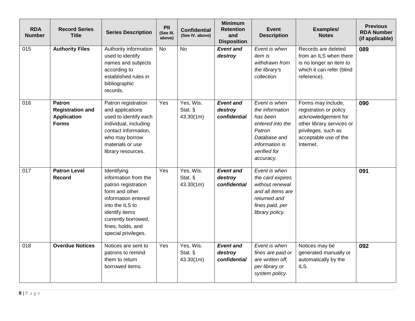| <b>RDA</b><br><b>Number</b> | <b>Record Series</b><br><b>Title</b>                                           | <b>Series Description</b>                                                                                                                                                                                   | PII<br>(See III.<br>above) | <b>Confidential</b><br>(See IV. above) | <b>Minimum</b><br><b>Retention</b><br>and<br><b>Disposition</b> | <b>Event</b><br><b>Description</b>                                                                                                        | Examples/<br><b>Notes</b>                                                                                                                                     | <b>Previous</b><br><b>RDA Number</b><br>(if applicable) |
|-----------------------------|--------------------------------------------------------------------------------|-------------------------------------------------------------------------------------------------------------------------------------------------------------------------------------------------------------|----------------------------|----------------------------------------|-----------------------------------------------------------------|-------------------------------------------------------------------------------------------------------------------------------------------|---------------------------------------------------------------------------------------------------------------------------------------------------------------|---------------------------------------------------------|
| 015                         | <b>Authority Files</b>                                                         | Authority information<br>used to identify<br>names and subjects<br>according to<br>established rules in<br>bibliographic<br>records.                                                                        | <b>No</b>                  | <b>No</b>                              | <b>Event and</b><br>destroy                                     | Event is when<br>item is<br>withdrawn from<br>the library's<br>collection.                                                                | Records are deleted<br>from an ILS when there<br>is no longer an item to<br>which it can refer (blind<br>reference).                                          | 089                                                     |
| 016                         | <b>Patron</b><br><b>Registration and</b><br><b>Application</b><br><b>Forms</b> | Patron registration<br>and applications<br>used to identify each<br>individual, including<br>contact information,<br>who may borrow<br>materials or use<br>library resources.                               | Yes                        | Yes, Wis.<br>Stat. §<br>43.30(1m)      | <b>Event and</b><br>destroy<br>confidential                     | Event is when<br>the information<br>has been<br>entered into the<br>Patron<br>Database and<br>information is<br>verified for<br>accuracy. | Forms may include,<br>registration or policy<br>acknowledgement for<br>other library services or<br>privileges, such as<br>acceptable use of the<br>Internet. | 090                                                     |
| 017                         | <b>Patron Level</b><br><b>Record</b>                                           | Identifying<br>information from the<br>patron registration<br>form and other<br>information entered<br>into the ILS to<br>identify items<br>currently borrowed,<br>fines, holds, and<br>special privileges. | Yes                        | Yes, Wis.<br>Stat. §<br>43.30(1m)      | <b>Event and</b><br>destroy<br>confidential                     | Event is when<br>the card expires<br>without renewal<br>and all items are<br>returned and<br>fines paid, per<br>library policy.           |                                                                                                                                                               | 091                                                     |
| 018                         | <b>Overdue Notices</b>                                                         | Notices are sent to<br>patrons to remind<br>them to return<br>borrowed items.                                                                                                                               | Yes                        | Yes, Wis.<br>Stat. §<br>43.30(1m)      | <b>Event and</b><br>destroy<br>confidential                     | Event is when<br>fines are paid or<br>are written off,<br>per library or<br>system policy.                                                | Notices may be<br>generated manually or<br>automatically by the<br>ILS.                                                                                       | 092                                                     |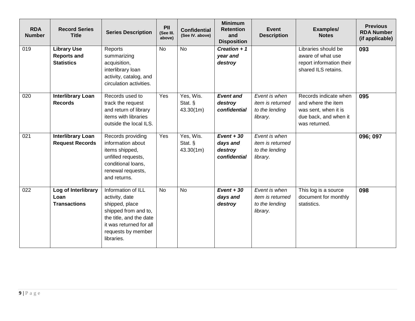| <b>RDA</b><br><b>Number</b> | <b>Record Series</b><br><b>Title</b>                          | <b>Series Description</b>                                                                                                                                                | PII<br>(See III.<br>above) | <b>Confidential</b><br>(See IV. above) | <b>Minimum</b><br><b>Retention</b><br>and<br><b>Disposition</b> | <b>Event</b><br><b>Description</b>                                     | Examples/<br><b>Notes</b>                                                                                     | <b>Previous</b><br><b>RDA Number</b><br>(if applicable) |
|-----------------------------|---------------------------------------------------------------|--------------------------------------------------------------------------------------------------------------------------------------------------------------------------|----------------------------|----------------------------------------|-----------------------------------------------------------------|------------------------------------------------------------------------|---------------------------------------------------------------------------------------------------------------|---------------------------------------------------------|
| 019                         | <b>Library Use</b><br><b>Reports and</b><br><b>Statistics</b> | Reports<br>summarizing<br>acquisition,<br>interlibrary loan<br>activity, catalog, and<br>circulation activities.                                                         | <b>No</b>                  | <b>No</b>                              | Creation $+1$<br>year and<br>destroy                            |                                                                        | Libraries should be<br>aware of what use<br>report information their<br>shared ILS retains.                   | 093                                                     |
| 020                         | <b>Interlibrary Loan</b><br><b>Records</b>                    | Records used to<br>track the request<br>and return of library<br>items with libraries<br>outside the local ILS.                                                          | Yes                        | Yes, Wis.<br>Stat. §<br>43.30(1m)      | <b>Event and</b><br>destroy<br>confidential                     | Event is when<br>item is returned<br>to the lending<br>library.        | Records indicate when<br>and where the item<br>was sent, when it is<br>due back, and when it<br>was returned. | 095                                                     |
| 021                         | <b>Interlibrary Loan</b><br><b>Request Records</b>            | Records providing<br>information about<br>items shipped,<br>unfilled requests,<br>conditional loans.<br>renewal requests,<br>and returns.                                | Yes                        | Yes, Wis.<br>Stat. §<br>43.30(1m)      | $Event + 30$<br>days and<br>destroy<br>confidential             | Event is when<br><i>item is returned</i><br>to the lending<br>library. |                                                                                                               | 096; 097                                                |
| 022                         | Log of Interlibrary<br>Loan<br><b>Transactions</b>            | Information of ILL<br>activity, date<br>shipped, place<br>shipped from and to,<br>the title, and the date<br>it was returned for all<br>requests by member<br>libraries. | <b>No</b>                  | <b>No</b>                              | $Event + 30$<br>days and<br>destroy                             | Event is when<br><i>item is returned</i><br>to the lending<br>library. | This log is a source<br>document for monthly<br>statistics.                                                   | 098                                                     |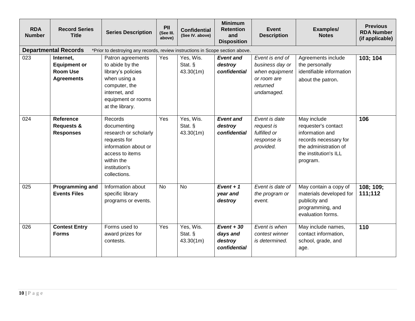| <b>RDA</b><br><b>Number</b> | <b>Record Series</b><br><b>Title</b>                                     | <b>Series Description</b>                                                                                                                                 | PII<br>(See III.<br>above) | <b>Confidential</b><br>(See IV. above) | <b>Minimum</b><br><b>Retention</b><br>and<br><b>Disposition</b> | <b>Event</b><br><b>Description</b>                                                            | Examples/<br><b>Notes</b>                                                                                                                    | <b>Previous</b><br><b>RDA Number</b><br>(if applicable) |
|-----------------------------|--------------------------------------------------------------------------|-----------------------------------------------------------------------------------------------------------------------------------------------------------|----------------------------|----------------------------------------|-----------------------------------------------------------------|-----------------------------------------------------------------------------------------------|----------------------------------------------------------------------------------------------------------------------------------------------|---------------------------------------------------------|
|                             | <b>Departmental Records</b>                                              | *Prior to destroying any records, review instructions in Scope section above.                                                                             |                            |                                        |                                                                 |                                                                                               |                                                                                                                                              |                                                         |
| $\overline{023}$            | Internet,<br><b>Equipment or</b><br><b>Room Use</b><br><b>Agreements</b> | Patron agreements<br>to abide by the<br>library's policies<br>when using a<br>computer, the<br>internet, and<br>equipment or rooms<br>at the library.     | Yes                        | Yes, Wis.<br>Stat. §<br>43.30(1m)      | <b>Event and</b><br>destroy<br>confidential                     | Event is end of<br>business day or<br>when equipment<br>or room are<br>returned<br>undamaged. | Agreements include<br>the personally<br>identifiable information<br>about the patron.                                                        | 103; 104                                                |
| 024                         | <b>Reference</b><br><b>Requests &amp;</b><br><b>Responses</b>            | Records<br>documenting<br>research or scholarly<br>requests for<br>information about or<br>access to items<br>within the<br>institution's<br>collections. | Yes                        | Yes, Wis.<br>Stat. §<br>43.30(1m)      | <b>Event and</b><br>destroy<br>confidential                     | Event is date<br>request is<br>fulfilled or<br>response is<br>provided.                       | May include<br>requester's contact<br>information and<br>records necessary for<br>the administration of<br>the institution's ILL<br>program. | 106                                                     |
| 025                         | Programming and<br><b>Events Files</b>                                   | Information about<br>specific library<br>programs or events.                                                                                              | <b>No</b>                  | <b>No</b>                              | $Event + 1$<br>year and<br>destroy                              | Event is date of<br>the program or<br>event.                                                  | May contain a copy of<br>materials developed for<br>publicity and<br>programming, and<br>evaluation forms.                                   | 108; 109;<br>111;112                                    |
| 026                         | <b>Contest Entry</b><br><b>Forms</b>                                     | Forms used to<br>award prizes for<br>contests.                                                                                                            | Yes                        | Yes, Wis.<br>Stat. $\S$<br>43.30(1m)   | $Event + 30$<br>days and<br>destroy<br>confidential             | Event is when<br>contest winner<br>is determined.                                             | May include names,<br>contact information,<br>school, grade, and<br>age.                                                                     | 110                                                     |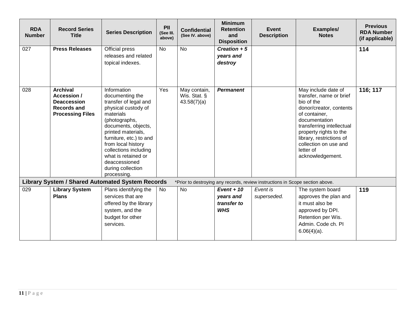| <b>RDA</b><br><b>Number</b> | <b>Record Series</b><br><b>Title</b>                                                                  | <b>Series Description</b>                                                                                                                                                                                                                                                                                       | PII<br>(See III.<br>above) | <b>Confidential</b><br>(See IV. above)      | <b>Minimum</b><br><b>Retention</b><br>and<br><b>Disposition</b> | <b>Event</b><br><b>Description</b>                                            | Examples/<br><b>Notes</b>                                                                                                                                                                                                                                              | <b>Previous</b><br><b>RDA Number</b><br>(if applicable) |
|-----------------------------|-------------------------------------------------------------------------------------------------------|-----------------------------------------------------------------------------------------------------------------------------------------------------------------------------------------------------------------------------------------------------------------------------------------------------------------|----------------------------|---------------------------------------------|-----------------------------------------------------------------|-------------------------------------------------------------------------------|------------------------------------------------------------------------------------------------------------------------------------------------------------------------------------------------------------------------------------------------------------------------|---------------------------------------------------------|
| 027                         | <b>Press Releases</b>                                                                                 | Official press<br>releases and related<br>topical indexes.                                                                                                                                                                                                                                                      | <b>No</b>                  | <b>No</b>                                   | Creation $+5$<br>years and<br>destroy                           |                                                                               |                                                                                                                                                                                                                                                                        | 114                                                     |
| 028                         | <b>Archival</b><br>Accession /<br><b>Deaccession</b><br><b>Records and</b><br><b>Processing Files</b> | Information<br>documenting the<br>transfer of legal and<br>physical custody of<br>materials<br>(photographs,<br>documents, objects,<br>printed materials,<br>furniture, etc.) to and<br>from local history<br>collections including<br>what is retained or<br>deaccessioned<br>during collection<br>processing. | Yes                        | May contain,<br>Wis. Stat. §<br>43.58(7)(a) | <b>Permanent</b>                                                |                                                                               | May include date of<br>transfer, name or brief<br>bio of the<br>donor/creator, contents<br>of container,<br>documentation<br>transferring intellectual<br>property rights to the<br>library, restrictions of<br>collection on use and<br>letter of<br>acknowledgement. | 116; 117                                                |
|                             |                                                                                                       | <b>Library System / Shared Automated System Records</b>                                                                                                                                                                                                                                                         |                            |                                             |                                                                 | *Prior to destroying any records, review instructions in Scope section above. |                                                                                                                                                                                                                                                                        |                                                         |
| 029                         | <b>Library System</b><br><b>Plans</b>                                                                 | Plans identifying the<br>services that are<br>offered by the library<br>system, and the<br>budget for other                                                                                                                                                                                                     | No                         | No                                          | $Event + 10$<br>years and<br>transfer to<br><b>WHS</b>          | Event is<br>superseded.                                                       | The system board<br>approves the plan and<br>it must also be<br>approved by DPI.<br>Retention per Wis.                                                                                                                                                                 | 119                                                     |
|                             |                                                                                                       | services.                                                                                                                                                                                                                                                                                                       |                            |                                             |                                                                 |                                                                               | Admin. Code ch. Pl<br>$6.06(4)(a)$ .                                                                                                                                                                                                                                   |                                                         |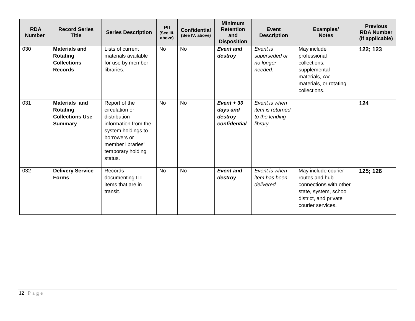| <b>RDA</b><br><b>Number</b> | <b>Record Series</b><br><b>Title</b>                                         | <b>Series Description</b>                                                                                                                                          | PII<br>(See III.<br>above) | <b>Confidential</b><br>(See IV. above) | <b>Minimum</b><br><b>Retention</b><br>and<br><b>Disposition</b> | <b>Event</b><br><b>Description</b>                                     | Examples/<br><b>Notes</b>                                                                                                              | <b>Previous</b><br><b>RDA Number</b><br>(if applicable) |
|-----------------------------|------------------------------------------------------------------------------|--------------------------------------------------------------------------------------------------------------------------------------------------------------------|----------------------------|----------------------------------------|-----------------------------------------------------------------|------------------------------------------------------------------------|----------------------------------------------------------------------------------------------------------------------------------------|---------------------------------------------------------|
| 030                         | <b>Materials and</b><br>Rotating<br><b>Collections</b><br><b>Records</b>     | Lists of current<br>materials available<br>for use by member<br>libraries.                                                                                         | <b>No</b>                  | <b>No</b>                              | <b>Event and</b><br>destroy                                     | Event is<br>superseded or<br>no longer<br>needed.                      | May include<br>professional<br>collections,<br>supplemental<br>materials, AV<br>materials, or rotating<br>collections.                 | 122; 123                                                |
| 031                         | <b>Materials and</b><br>Rotating<br><b>Collections Use</b><br><b>Summary</b> | Report of the<br>circulation or<br>distribution<br>information from the<br>system holdings to<br>borrowers or<br>member libraries'<br>temporary holding<br>status. | <b>No</b>                  | <b>No</b>                              | $Event + 30$<br>days and<br>destroy<br>confidential             | Event is when<br><i>item is returned</i><br>to the lending<br>library. |                                                                                                                                        | 124                                                     |
| 032                         | <b>Delivery Service</b><br><b>Forms</b>                                      | Records<br>documenting ILL<br>items that are in<br>transit.                                                                                                        | <b>No</b>                  | <b>No</b>                              | <b>Event and</b><br>destroy                                     | Event is when<br>item has been<br>delivered.                           | May include courier<br>routes and hub<br>connections with other<br>state, system, school<br>district, and private<br>courier services. | 125; 126                                                |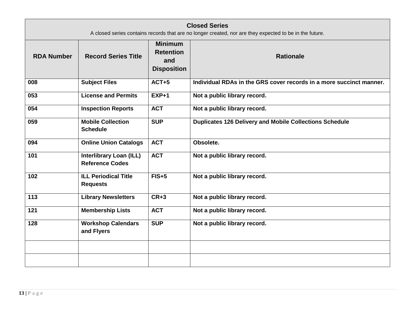|                   | <b>Closed Series</b><br>A closed series contains records that are no longer created, nor are they expected to be in the future. |                                                                 |                                                                     |  |  |  |  |  |  |
|-------------------|---------------------------------------------------------------------------------------------------------------------------------|-----------------------------------------------------------------|---------------------------------------------------------------------|--|--|--|--|--|--|
| <b>RDA Number</b> | <b>Record Series Title</b>                                                                                                      | <b>Minimum</b><br><b>Retention</b><br>and<br><b>Disposition</b> | <b>Rationale</b>                                                    |  |  |  |  |  |  |
| 008               | <b>Subject Files</b>                                                                                                            | $ACT+5$                                                         | Individual RDAs in the GRS cover records in a more succinct manner. |  |  |  |  |  |  |
| 053               | <b>License and Permits</b>                                                                                                      | $EXP+1$                                                         | Not a public library record.                                        |  |  |  |  |  |  |
| 054               | <b>Inspection Reports</b>                                                                                                       | <b>ACT</b>                                                      | Not a public library record.                                        |  |  |  |  |  |  |
| 059               | <b>Mobile Collection</b><br><b>Schedule</b>                                                                                     | <b>SUP</b>                                                      | <b>Duplicates 126 Delivery and Mobile Collections Schedule</b>      |  |  |  |  |  |  |
| 094               | <b>Online Union Catalogs</b>                                                                                                    | <b>ACT</b>                                                      | Obsolete.                                                           |  |  |  |  |  |  |
| 101               | <b>Interlibrary Loan (ILL)</b><br><b>Reference Codes</b>                                                                        | <b>ACT</b>                                                      | Not a public library record.                                        |  |  |  |  |  |  |
| 102               | <b>ILL Periodical Title</b><br><b>Requests</b>                                                                                  | $FIS+5$                                                         | Not a public library record.                                        |  |  |  |  |  |  |
| 113               | <b>Library Newsletters</b>                                                                                                      | $CR+3$                                                          | Not a public library record.                                        |  |  |  |  |  |  |
| 121               | <b>Membership Lists</b>                                                                                                         | <b>ACT</b>                                                      | Not a public library record.                                        |  |  |  |  |  |  |
| 128               | <b>Workshop Calendars</b><br>and Flyers                                                                                         | <b>SUP</b>                                                      | Not a public library record.                                        |  |  |  |  |  |  |
|                   |                                                                                                                                 |                                                                 |                                                                     |  |  |  |  |  |  |
|                   |                                                                                                                                 |                                                                 |                                                                     |  |  |  |  |  |  |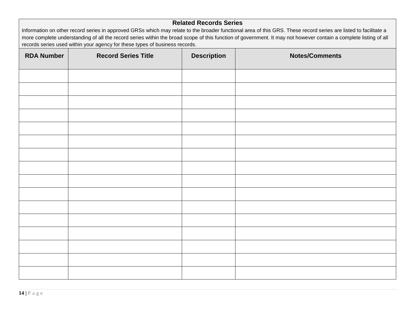#### **Related Records Series**

Information on other record series in approved GRSs which may relate to the broader functional area of this GRS. These record series are listed to facilitate a more complete understanding of all the record series within the broad scope of this function of government. It may not however contain a complete listing of all records series used within your agency for these types of business records.

| <b>RDA Number</b> | <b>Record Series Title</b> | <b>Description</b> | <b>Notes/Comments</b> |
|-------------------|----------------------------|--------------------|-----------------------|
|                   |                            |                    |                       |
|                   |                            |                    |                       |
|                   |                            |                    |                       |
|                   |                            |                    |                       |
|                   |                            |                    |                       |
|                   |                            |                    |                       |
|                   |                            |                    |                       |
|                   |                            |                    |                       |
|                   |                            |                    |                       |
|                   |                            |                    |                       |
|                   |                            |                    |                       |
|                   |                            |                    |                       |
|                   |                            |                    |                       |
|                   |                            |                    |                       |
|                   |                            |                    |                       |
|                   |                            |                    |                       |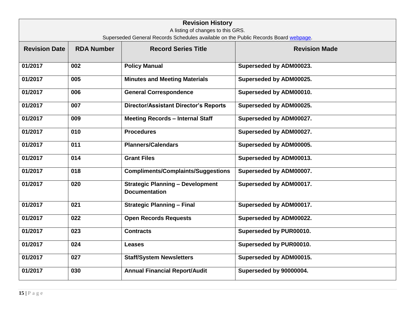|                      | <b>Revision History</b><br>A listing of changes to this GRS.<br>Superseded General Records Schedules available on the Public Records Board webpage. |                                                                 |                         |  |  |  |  |  |  |
|----------------------|-----------------------------------------------------------------------------------------------------------------------------------------------------|-----------------------------------------------------------------|-------------------------|--|--|--|--|--|--|
| <b>Revision Date</b> | <b>RDA Number</b>                                                                                                                                   | <b>Record Series Title</b>                                      | <b>Revision Made</b>    |  |  |  |  |  |  |
| 01/2017              | 002                                                                                                                                                 | <b>Policy Manual</b>                                            | Superseded by ADM00023. |  |  |  |  |  |  |
| 01/2017              | 005                                                                                                                                                 | <b>Minutes and Meeting Materials</b>                            | Superseded by ADM00025. |  |  |  |  |  |  |
| 01/2017              | 006                                                                                                                                                 | <b>General Correspondence</b>                                   | Superseded by ADM00010. |  |  |  |  |  |  |
| 01/2017              | 007                                                                                                                                                 | <b>Director/Assistant Director's Reports</b>                    | Superseded by ADM00025. |  |  |  |  |  |  |
| 01/2017              | 009                                                                                                                                                 | <b>Meeting Records - Internal Staff</b>                         | Superseded by ADM00027. |  |  |  |  |  |  |
| 01/2017              | 010                                                                                                                                                 | <b>Procedures</b>                                               | Superseded by ADM00027. |  |  |  |  |  |  |
| 01/2017              | 011                                                                                                                                                 | <b>Planners/Calendars</b>                                       | Superseded by ADM00005. |  |  |  |  |  |  |
| 01/2017              | 014                                                                                                                                                 | <b>Grant Files</b>                                              | Superseded by ADM00013. |  |  |  |  |  |  |
| 01/2017              | 018                                                                                                                                                 | <b>Compliments/Complaints/Suggestions</b>                       | Superseded by ADM00007. |  |  |  |  |  |  |
| 01/2017              | 020                                                                                                                                                 | <b>Strategic Planning - Development</b><br><b>Documentation</b> | Superseded by ADM00017. |  |  |  |  |  |  |
| 01/2017              | 021                                                                                                                                                 | <b>Strategic Planning - Final</b>                               | Superseded by ADM00017. |  |  |  |  |  |  |
| 01/2017              | 022                                                                                                                                                 | <b>Open Records Requests</b>                                    | Superseded by ADM00022. |  |  |  |  |  |  |
| 01/2017              | 023                                                                                                                                                 | <b>Contracts</b>                                                | Superseded by PUR00010. |  |  |  |  |  |  |
| 01/2017              | 024                                                                                                                                                 | Leases                                                          | Superseded by PUR00010. |  |  |  |  |  |  |
| 01/2017              | 027                                                                                                                                                 | <b>Staff/System Newsletters</b>                                 | Superseded by ADM00015. |  |  |  |  |  |  |
| 01/2017              | 030                                                                                                                                                 | <b>Annual Financial Report/Audit</b>                            | Superseded by 90000004. |  |  |  |  |  |  |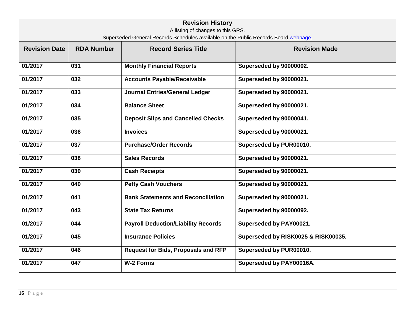| <b>Revision History</b><br>A listing of changes to this GRS.<br>Superseded General Records Schedules available on the Public Records Board webpage. |                   |                                            |                                     |  |  |
|-----------------------------------------------------------------------------------------------------------------------------------------------------|-------------------|--------------------------------------------|-------------------------------------|--|--|
| <b>Revision Date</b>                                                                                                                                | <b>RDA Number</b> | <b>Record Series Title</b>                 | <b>Revision Made</b>                |  |  |
| 01/2017                                                                                                                                             | 031               | <b>Monthly Financial Reports</b>           | Superseded by 90000002.             |  |  |
| 01/2017                                                                                                                                             | 032               | <b>Accounts Payable/Receivable</b>         | Superseded by 90000021.             |  |  |
| 01/2017                                                                                                                                             | 033               | <b>Journal Entries/General Ledger</b>      | Superseded by 90000021.             |  |  |
| 01/2017                                                                                                                                             | 034               | <b>Balance Sheet</b>                       | Superseded by 90000021.             |  |  |
| 01/2017                                                                                                                                             | 035               | <b>Deposit Slips and Cancelled Checks</b>  | Superseded by 90000041.             |  |  |
| 01/2017                                                                                                                                             | 036               | <b>Invoices</b>                            | Superseded by 90000021.             |  |  |
| 01/2017                                                                                                                                             | 037               | <b>Purchase/Order Records</b>              | Superseded by PUR00010.             |  |  |
| 01/2017                                                                                                                                             | 038               | <b>Sales Records</b>                       | Superseded by 90000021.             |  |  |
| 01/2017                                                                                                                                             | 039               | <b>Cash Receipts</b>                       | Superseded by 90000021.             |  |  |
| 01/2017                                                                                                                                             | 040               | <b>Petty Cash Vouchers</b>                 | Superseded by 90000021.             |  |  |
| 01/2017                                                                                                                                             | 041               | <b>Bank Statements and Reconciliation</b>  | Superseded by 90000021.             |  |  |
| 01/2017                                                                                                                                             | 043               | <b>State Tax Returns</b>                   | Superseded by 90000092.             |  |  |
| 01/2017                                                                                                                                             | 044               | <b>Payroll Deduction/Liability Records</b> | Superseded by PAY00021.             |  |  |
| 01/2017                                                                                                                                             | 045               | <b>Insurance Policies</b>                  | Superseded by RISK0025 & RISK00035. |  |  |
| 01/2017                                                                                                                                             | 046               | <b>Request for Bids, Proposals and RFP</b> | Superseded by PUR00010.             |  |  |
| 01/2017                                                                                                                                             | 047               | <b>W-2 Forms</b>                           | Superseded by PAY00016A.            |  |  |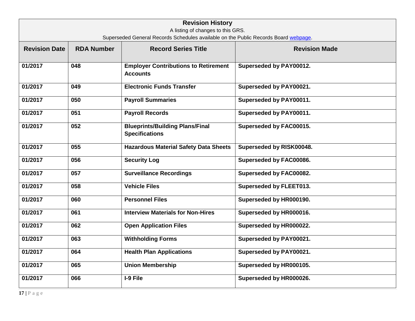| <b>Revision History</b><br>A listing of changes to this GRS.                        |                   |                                                                 |                          |  |  |  |
|-------------------------------------------------------------------------------------|-------------------|-----------------------------------------------------------------|--------------------------|--|--|--|
| Superseded General Records Schedules available on the Public Records Board webpage. |                   |                                                                 |                          |  |  |  |
| <b>Revision Date</b>                                                                | <b>RDA Number</b> | <b>Record Series Title</b>                                      | <b>Revision Made</b>     |  |  |  |
| 01/2017                                                                             | 048               | <b>Employer Contributions to Retirement</b><br><b>Accounts</b>  | Superseded by PAY00012.  |  |  |  |
| 01/2017                                                                             | 049               | <b>Electronic Funds Transfer</b>                                | Superseded by PAY00021.  |  |  |  |
| 01/2017                                                                             | 050               | <b>Payroll Summaries</b>                                        | Superseded by PAY00011.  |  |  |  |
| 01/2017                                                                             | 051               | <b>Payroll Records</b>                                          | Superseded by PAY00011.  |  |  |  |
| 01/2017                                                                             | 052               | <b>Blueprints/Building Plans/Final</b><br><b>Specifications</b> | Superseded by FAC00015.  |  |  |  |
| 01/2017                                                                             | 055               | <b>Hazardous Material Safety Data Sheets</b>                    | Superseded by RISK00048. |  |  |  |
| 01/2017                                                                             | 056               | <b>Security Log</b>                                             | Superseded by FAC00086.  |  |  |  |
| 01/2017                                                                             | 057               | <b>Surveillance Recordings</b>                                  | Superseded by FAC00082.  |  |  |  |
| 01/2017                                                                             | 058               | <b>Vehicle Files</b>                                            | Superseded by FLEET013.  |  |  |  |
| 01/2017                                                                             | 060               | <b>Personnel Files</b>                                          | Superseded by HR000190.  |  |  |  |
| 01/2017                                                                             | 061               | <b>Interview Materials for Non-Hires</b>                        | Superseded by HR000016.  |  |  |  |
| 01/2017                                                                             | 062               | <b>Open Application Files</b>                                   | Superseded by HR000022.  |  |  |  |
| 01/2017                                                                             | 063               | <b>Withholding Forms</b>                                        | Superseded by PAY00021.  |  |  |  |
| 01/2017                                                                             | 064               | <b>Health Plan Applications</b>                                 | Superseded by PAY00021.  |  |  |  |
| 01/2017                                                                             | 065               | <b>Union Membership</b>                                         | Superseded by HR000105.  |  |  |  |
| 01/2017                                                                             | 066               | I-9 File                                                        | Superseded by HR000026.  |  |  |  |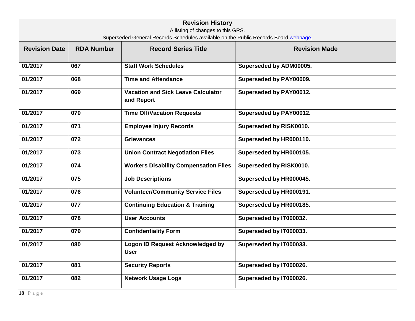| <b>Revision History</b><br>A listing of changes to this GRS.                        |                   |                                                         |                         |  |  |
|-------------------------------------------------------------------------------------|-------------------|---------------------------------------------------------|-------------------------|--|--|
| Superseded General Records Schedules available on the Public Records Board webpage. |                   |                                                         |                         |  |  |
| <b>Revision Date</b>                                                                | <b>RDA Number</b> | <b>Record Series Title</b>                              | <b>Revision Made</b>    |  |  |
| 01/2017                                                                             | 067               | <b>Staff Work Schedules</b>                             | Superseded by ADM00005. |  |  |
| 01/2017                                                                             | 068               | <b>Time and Attendance</b>                              | Superseded by PAY00009. |  |  |
| 01/2017                                                                             | 069               | <b>Vacation and Sick Leave Calculator</b><br>and Report | Superseded by PAY00012. |  |  |
| 01/2017                                                                             | 070               | <b>Time Off/Vacation Requests</b>                       | Superseded by PAY00012. |  |  |
| 01/2017                                                                             | $\overline{071}$  | <b>Employee Injury Records</b>                          | Superseded by RISK0010. |  |  |
| 01/2017                                                                             | 072               | <b>Grievances</b>                                       | Superseded by HR000110. |  |  |
| 01/2017                                                                             | 073               | <b>Union Contract Negotiation Files</b>                 | Superseded by HR000105. |  |  |
| 01/2017                                                                             | 074               | <b>Workers Disability Compensation Files</b>            | Superseded by RISK0010. |  |  |
| 01/2017                                                                             | 075               | <b>Job Descriptions</b>                                 | Superseded by HR000045. |  |  |
| 01/2017                                                                             | 076               | <b>Volunteer/Community Service Files</b>                | Superseded by HR000191. |  |  |
| 01/2017                                                                             | 077               | <b>Continuing Education &amp; Training</b>              | Superseded by HR000185. |  |  |
| 01/2017                                                                             | 078               | <b>User Accounts</b>                                    | Superseded by IT000032. |  |  |
| 01/2017                                                                             | 079               | <b>Confidentiality Form</b>                             | Superseded by IT000033. |  |  |
| 01/2017                                                                             | 080               | <b>Logon ID Request Acknowledged by</b><br><b>User</b>  | Superseded by IT000033. |  |  |
| 01/2017                                                                             | 081               | <b>Security Reports</b>                                 | Superseded by IT000026. |  |  |
| 01/2017                                                                             | 082               | <b>Network Usage Logs</b>                               | Superseded by IT000026. |  |  |